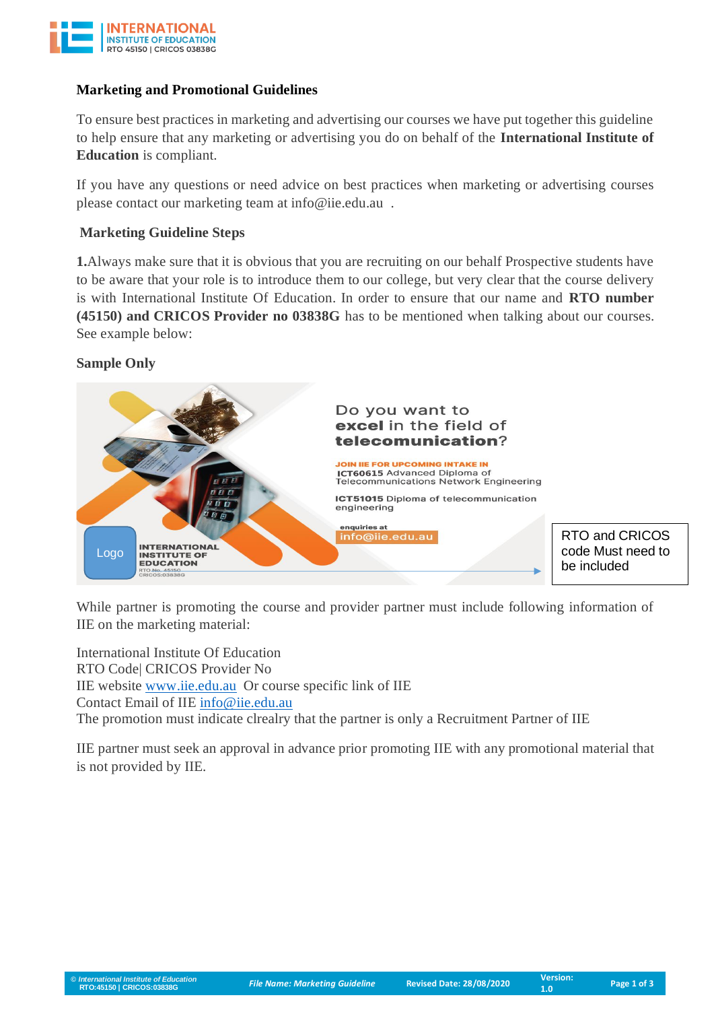

### **Marketing and Promotional Guidelines**

To ensure best practices in marketing and advertising our courses we have put together this guideline to help ensure that any marketing or advertising you do on behalf of the **International Institute of Education** is compliant.

If you have any questions or need advice on best practices when marketing or advertising courses please contact our marketing team at info@iie.edu.au .

### **Marketing Guideline Steps**

**1.**Always make sure that it is obvious that you are recruiting on our behalf Prospective students have to be aware that your role is to introduce them to our college, but very clear that the course delivery is with International Institute Of Education. In order to ensure that our name and **RTO number (45150) and CRICOS Provider no 03838G** has to be mentioned when talking about our courses. See example below:

#### **Sample Only**



While partner is promoting the course and provider partner must include following information of IIE on the marketing material:

International Institute Of Education RTO Code| CRICOS Provider No IIE website [www.iie.edu.au](http://www.iie.edu.au/) Or course specific link of IIE Contact Email of IIE [info@iie.edu.au](mailto:info@iie.edu.au) The promotion must indicate clrealry that the partner is only a Recruitment Partner of IIE

IIE partner must seek an approval in advance prior promoting IIE with any promotional material that is not provided by IIE.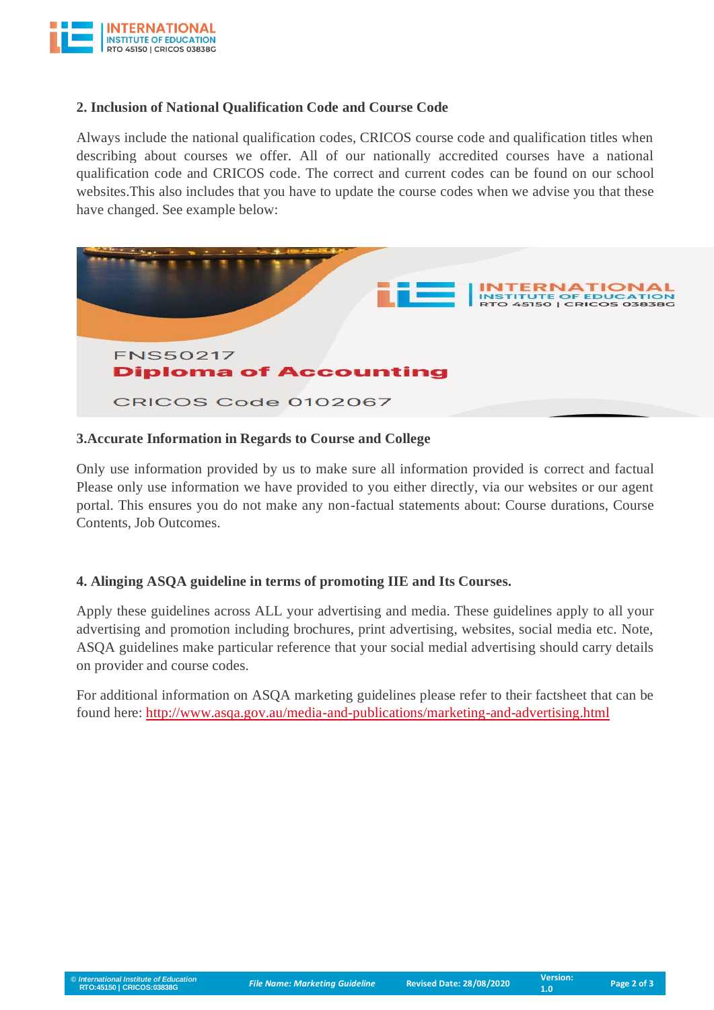

## **2. Inclusion of National Qualification Code and Course Code**

Always include the national qualification codes, CRICOS course code and qualification titles when describing about courses we offer. All of our nationally accredited courses have a national qualification code and CRICOS code. The correct and current codes can be found on our school websites.This also includes that you have to update the course codes when we advise you that these have changed. See example below:



#### **3.Accurate Information in Regards to Course and College**

Only use information provided by us to make sure all information provided is correct and factual Please only use information we have provided to you either directly, via our websites or our agent portal. This ensures you do not make any non-factual statements about: Course durations, Course Contents, Job Outcomes.

## **4. Alinging ASQA guideline in terms of promoting IIE and Its Courses.**

Apply these guidelines across ALL your advertising and media. These guidelines apply to all your advertising and promotion including brochures, print advertising, websites, social media etc. Note, ASQA guidelines make particular reference that your social medial advertising should carry details on provider and course codes.

For additional information on ASQA marketing guidelines please refer to their factsheet that can be found here: <http://www.asqa.gov.au/media-and-publications/marketing-and-advertising.html>